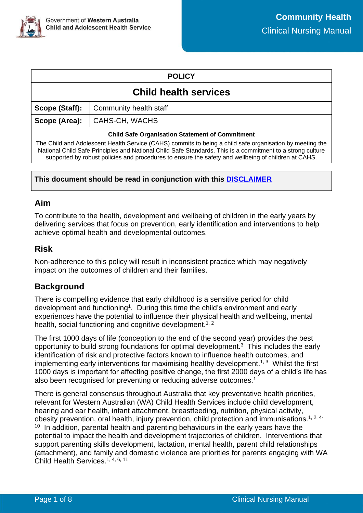

#### **POLICY**

# **Child health services**

**Scope (Staff):** | Community health staff

**Scope (Area):** CAHS-CH, WACHS

#### **Child Safe Organisation Statement of Commitment**

The Child and Adolescent Health Service (CAHS) commits to being a child safe organisation by meeting the National Child Safe Principles and National Child Safe Standards. This is a commitment to a strong culture supported by robust policies and procedures to ensure the safety and wellbeing of children at CAHS.

#### **This document should be read in conjunction with this [DISCLAIMER](https://cahs.health.wa.gov.au/For-health-professionals/Resources/CAHS-Clinical-Disclaimer)**

### **Aim**

To contribute to the health, development and wellbeing of children in the early years by delivering services that focus on prevention, early identification and interventions to help achieve optimal health and developmental outcomes.

### **Risk**

Non-adherence to this policy will result in inconsistent practice which may negatively impact on the outcomes of children and their families.

## **Background**

There is compelling evidence that early childhood is a sensitive period for child development and functioning<sup>1</sup>. During this time the child's environment and early experiences have the potential to influence their physical health and wellbeing, mental health, social functioning and cognitive development.<sup>1, 2</sup>

The first 1000 days of life (conception to the end of the second year) provides the best opportunity to build strong foundations for optimal development.<sup>3</sup> This includes the early identification of risk and protective factors known to influence health outcomes, and implementing early interventions for maximising healthy development.<sup>1, 3</sup> Whilst the first 1000 days is important for affecting positive change, the first 2000 days of a child's life has also been recognised for preventing or reducing adverse outcomes.<sup>1</sup>

There is general consensus throughout Australia that key preventative health priorities, relevant for Western Australian (WA) Child Health Services include child development, hearing and ear health, infant attachment, breastfeeding, nutrition, physical activity, obesity prevention, oral health, injury prevention, child protection and immunisations.<sup>1, 2, 4-</sup> <sup>10</sup> In addition, parental health and parenting behaviours in the early years have the potential to impact the health and development trajectories of children. Interventions that support parenting skills development, lactation, mental health, parent child relationships (attachment), and family and domestic violence are priorities for parents engaging with WA Child Health Services.<sup>1, 4, 6, 11</sup>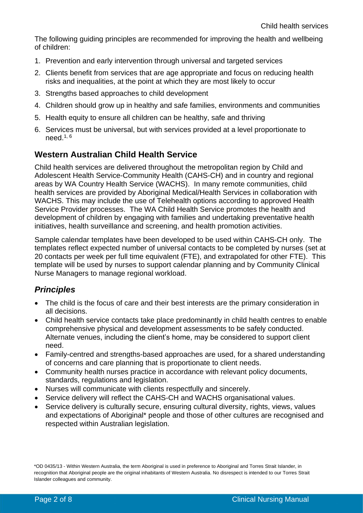The following guiding principles are recommended for improving the health and wellbeing of children:

- 1. Prevention and early intervention through universal and targeted services
- 2. Clients benefit from services that are age appropriate and focus on reducing health risks and inequalities, at the point at which they are most likely to occur
- 3. Strengths based approaches to child development
- 4. Children should grow up in healthy and safe families, environments and communities
- 5. Health equity to ensure all children can be healthy, safe and thriving
- 6. Services must be universal, but with services provided at a level proportionate to need. $^{\rm 1, \, 6}$

## **Western Australian Child Health Service**

Child health services are delivered throughout the metropolitan region by Child and Adolescent Health Service-Community Health (CAHS-CH) and in country and regional areas by WA Country Health Service (WACHS). In many remote communities, child health services are provided by Aboriginal Medical/Health Services in collaboration with WACHS. This may include the use of Telehealth options according to approved Health Service Provider processes. The WA Child Health Service promotes the health and development of children by engaging with families and undertaking preventative health initiatives, health surveillance and screening, and health promotion activities.

Sample calendar templates have been developed to be used within CAHS-CH only. The templates reflect expected number of universal contacts to be completed by nurses (set at 20 contacts per week per full time equivalent (FTE), and extrapolated for other FTE). This template will be used by nurses to support calendar planning and by Community Clinical Nurse Managers to manage regional workload.

## *Principles*

- The child is the focus of care and their best interests are the primary consideration in all decisions.
- Child health service contacts take place predominantly in child health centres to enable comprehensive physical and development assessments to be safely conducted. Alternate venues, including the client's home, may be considered to support client need.
- Family-centred and strengths-based approaches are used, for a shared understanding of concerns and care planning that is proportionate to client needs.
- Community health nurses practice in accordance with relevant policy documents, standards, regulations and legislation.
- Nurses will communicate with clients respectfully and sincerely.
- Service delivery will reflect the CAHS-CH and WACHS organisational values.
- Service delivery is culturally secure, ensuring cultural diversity, rights, views, values and expectations of Aboriginal\* people and those of other cultures are recognised and respected within Australian legislation.

\*OD 0435/13 - Within Western Australia, the term Aboriginal is used in preference to Aboriginal and Torres Strait Islander, in recognition that Aboriginal people are the original inhabitants of Western Australia. No disrespect is intended to our Torres Strait Islander colleagues and community.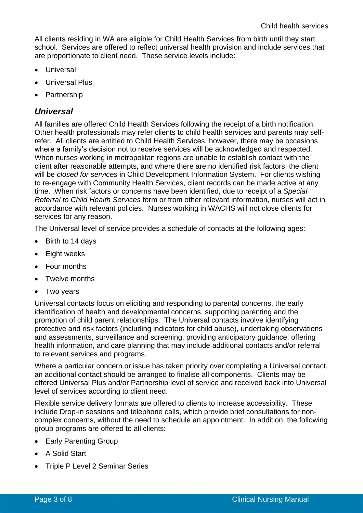All clients residing in WA are eligible for Child Health Services from birth until they start school. Services are offered to reflect universal health provision and include services that are proportionate to client need. These service levels include:

- Universal
- Universal Plus
- Partnership

## *Universal*

All families are offered Child Health Services following the receipt of a birth notification. Other health professionals may refer clients to child health services and parents may selfrefer. All clients are entitled to Child Health Services, however, there may be occasions where a family's decision not to receive services will be acknowledged and respected. When nurses working in metropolitan regions are unable to establish contact with the client after reasonable attempts, and where there are no identified risk factors, the client will be *closed for services* in Child Development Information System. For clients wishing to re-engage with Community Health Services, client records can be made active at any time. When risk factors or concerns have been identified, due to receipt of a *Special Referral to Child Health Services* form or from other relevant information, nurses will act in accordance with relevant policies. Nurses working in WACHS will not close clients for services for any reason.

The Universal level of service provides a schedule of contacts at the following ages:

- Birth to 14 days
- Eight weeks
- Four months
- Twelve months
- Two years

Universal contacts focus on eliciting and responding to parental concerns, the early identification of health and developmental concerns, supporting parenting and the promotion of child parent relationships. The Universal contacts involve identifying protective and risk factors (including indicators for child abuse), undertaking observations and assessments, surveillance and screening, providing anticipatory guidance, offering health information, and care planning that may include additional contacts and/or referral to relevant services and programs.

Where a particular concern or issue has taken priority over completing a Universal contact, an additional contact should be arranged to finalise all components. Clients may be offered Universal Plus and/or Partnership level of service and received back into Universal level of services according to client need.

Flexible service delivery formats are offered to clients to increase accessibility. These include Drop-in sessions and telephone calls, which provide brief consultations for noncomplex concerns, without the need to schedule an appointment. In addition, the following group programs are offered to all clients:

- Early Parenting Group
- A Solid Start
- Triple P Level 2 Seminar Series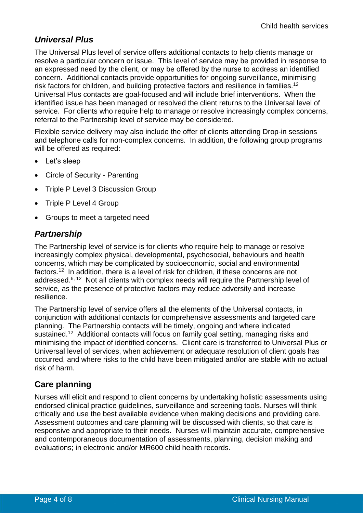## *Universal Plus*

The Universal Plus level of service offers additional contacts to help clients manage or resolve a particular concern or issue. This level of service may be provided in response to an expressed need by the client, or may be offered by the nurse to address an identified concern. Additional contacts provide opportunities for ongoing surveillance, minimising risk factors for children, and building protective factors and resilience in families.<sup>12</sup> Universal Plus contacts are goal-focused and will include brief interventions. When the identified issue has been managed or resolved the client returns to the Universal level of service. For clients who require help to manage or resolve increasingly complex concerns, referral to the Partnership level of service may be considered.

Flexible service delivery may also include the offer of clients attending Drop-in sessions and telephone calls for non-complex concerns. In addition, the following group programs will be offered as required:

- Let's sleep
- Circle of Security Parenting
- Triple P Level 3 Discussion Group
- Triple P Level 4 Group
- Groups to meet a targeted need

## *Partnership*

The Partnership level of service is for clients who require help to manage or resolve increasingly complex physical, developmental, psychosocial, behaviours and health concerns, which may be complicated by socioeconomic, social and environmental factors.<sup>12</sup> In addition, there is a level of risk for children, if these concerns are not addressed.<sup>6, 12</sup> Not all clients with complex needs will require the Partnership level of service, as the presence of protective factors may reduce adversity and increase resilience.

The Partnership level of service offers all the elements of the Universal contacts, in conjunction with additional contacts for comprehensive assessments and targeted care planning. The Partnership contacts will be timely, ongoing and where indicated sustained.<sup>12</sup> Additional contacts will focus on family goal setting, managing risks and minimising the impact of identified concerns. Client care is transferred to Universal Plus or Universal level of services, when achievement or adequate resolution of client goals has occurred, and where risks to the child have been mitigated and/or are stable with no actual risk of harm.

## **Care planning**

Nurses will elicit and respond to client concerns by undertaking holistic assessments using endorsed clinical practice guidelines, surveillance and screening tools. Nurses will think critically and use the best available evidence when making decisions and providing care. Assessment outcomes and care planning will be discussed with clients, so that care is responsive and appropriate to their needs. Nurses will maintain accurate, comprehensive and contemporaneous documentation of assessments, planning, decision making and evaluations; in electronic and/or MR600 child health records.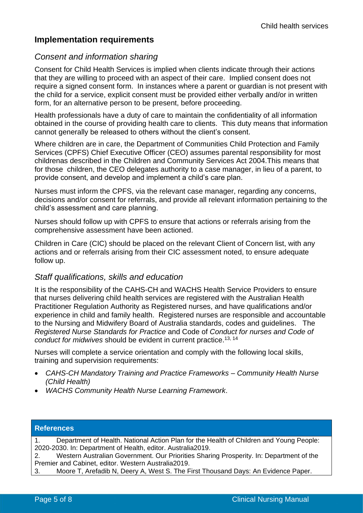## **Implementation requirements**

## *Consent and information sharing*

Consent for Child Health Services is implied when clients indicate through their actions that they are willing to proceed with an aspect of their care. Implied consent does not require a signed consent form. In instances where a parent or guardian is not present with the child for a service, explicit consent must be provided either verbally and/or in written form, for an alternative person to be present, before proceeding.

Health professionals have a duty of care to maintain the confidentiality of all information obtained in the course of providing health care to clients. This duty means that information cannot generally be released to others without the client's consent.

Where children are in care, the Department of Communities Child Protection and Family Services (CPFS) Chief Executive Officer (CEO) assumes parental responsibility for most childrenas described in the Children and Community Services Act 2004.This means that for those children, the CEO delegates authority to a case manager, in lieu of a parent, to provide consent, and develop and implement a child's care plan.

Nurses must inform the CPFS, via the relevant case manager, regarding any concerns, decisions and/or consent for referrals, and provide all relevant information pertaining to the child's assessment and care planning.

Nurses should follow up with CPFS to ensure that actions or referrals arising from the comprehensive assessment have been actioned.

Children in Care (CIC) should be placed on the relevant Client of Concern list, with any actions and or referrals arising from their CIC assessment noted, to ensure adequate follow up.

#### *Staff qualifications, skills and education*

It is the responsibility of the CAHS-CH and WACHS Health Service Providers to ensure that nurses delivering child health services are registered with the Australian Health Practitioner Regulation Authority as Registered nurses, and have qualifications and/or experience in child and family health. Registered nurses are responsible and accountable to the Nursing and Midwifery Board of Australia standards, codes and guidelines. The *Registered Nurse Standards for Practice* and Code of *Conduct for nurses and Code of conduct for midwives* should be evident in current practice. 13, 14

Nurses will complete a service orientation and comply with the following local skills, training and supervision requirements:

- *CAHS-CH Mandatory Training and Practice Frameworks – Community Health Nurse (Child Health)*
- *WACHS Community Health Nurse Learning Framework*.

| <b>References</b>                                                                                  |
|----------------------------------------------------------------------------------------------------|
| Department of Health. National Action Plan for the Health of Children and Young People:<br>$1_{-}$ |
| 2020-2030. In: Department of Health, editor. Australia2019.                                        |
| Western Australian Government. Our Priorities Sharing Prosperity. In: Department of the<br>2.      |
| Premier and Cabinet, editor. Western Australia 2019.                                               |
| Moore T, Arefadib N, Deery A, West S. The First Thousand Days: An Evidence Paper.<br>3.            |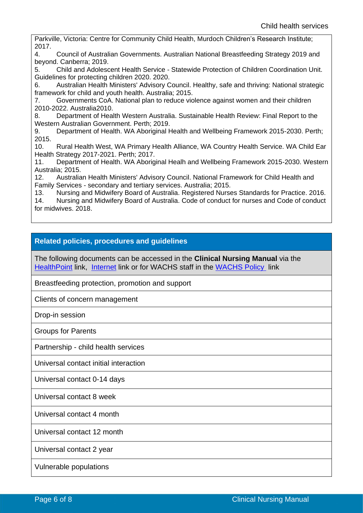Parkville, Victoria: Centre for Community Child Health, Murdoch Children's Research Institute; 2017.

4. Council of Australian Governments. Australian National Breastfeeding Strategy 2019 and beyond. Canberra; 2019.

5. Child and Adolescent Health Service - Statewide Protection of Children Coordination Unit. Guidelines for protecting children 2020. 2020.

6. Australian Health Ministers' Advisory Council. Healthy, safe and thriving: National strategic framework for child and youth health. Australia; 2015.

7. Governments CoA. National plan to reduce violence against women and their children 2010-2022. Australia2010.

8. Department of Health Western Australia. Sustainable Health Review: Final Report to the Western Australian Government. Perth; 2019.

9. Department of Health. WA Aboriginal Health and Wellbeing Framework 2015-2030. Perth; 2015.

10. Rural Health West, WA Primary Health Alliance, WA Country Health Service. WA Child Ear Health Strategy 2017-2021. Perth; 2017.

11. Department of Health. WA Aboriginal Healh and Wellbeing Framework 2015-2030. Western Australia; 2015.

12. Australian Health Ministers' Advisory Council. National Framework for Child Health and Family Services - secondary and tertiary services. Australia; 2015.

13. Nursing and Midwifery Board of Australia. Registered Nurses Standards for Practice. 2016. 14. Nursing and Midwifery Board of Australia. Code of conduct for nurses and Code of conduct for midwives. 2018.

#### **Related policies, procedures and guidelines**

The following documents can be accessed in the **Clinical Nursing Manual** via the [HealthPoint](https://healthpoint.hdwa.health.wa.gov.au/policies/Pages/CACH-Community-Health.aspx) link, [Internet](https://ww2.health.wa.gov.au/About-us/Child-and-Adolescent-Health-Service/Child-and-Adolescent-Community-Health/Professional-resources/Community-Health-Clinical-Nursing-Manual) link or for WACHS staff in the [WACHS Policy](https://healthpoint.hdwa.health.wa.gov.au/policies/Pages/WACHS%20Policy%20Pages/WACHS-Policies.aspx) link

Breastfeeding protection, promotion and support

Clients of concern management

Drop-in session

Groups for Parents

Partnership - child health services

Universal contact initial interaction

Universal contact 0-14 days

Universal contact 8 week

Universal contact 4 month

Universal contact 12 month

Universal contact 2 year

Vulnerable populations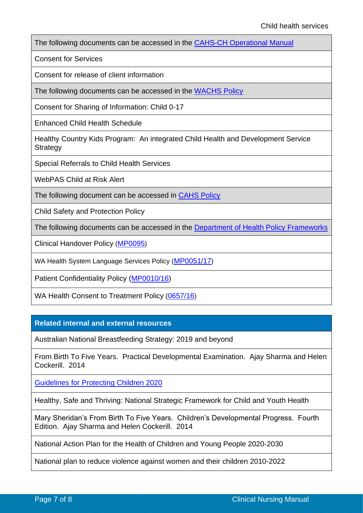The following documents can be accessed in the [CAHS-CH Operational Manual](https://healthpoint.hdwa.health.wa.gov.au/policies/Pages/CACH-Operational-Policies.aspx)

Consent for Services

Consent for release of client information

The following documents can be accessed in the [WACHS Policy](https://healthpoint.hdwa.health.wa.gov.au/policies/Pages/WACHS%20Policy%20Pages/WACHS-Policies.aspx) 

Consent for Sharing of Information: Child 0-17

Enhanced Child Health Schedule

Healthy Country Kids Program: An integrated Child Health and Development Service **Strategy** 

Special Referrals to Child Health Services

WebPAS Child at Risk Alert

The following document can be accessed in [CAHS Policy](https://healthpoint.hdwa.health.wa.gov.au/policies/Pages/CAHS-Policies-Corporate.aspx)

Child Safety and Protection Policy

The following documents can be accessed in the [Department of Health Policy Frameworks](https://ww2.health.wa.gov.au/About-us/Policy-Frameworks)

Clinical Handover Policy ([MP0095](https://ww2.health.wa.gov.au/About-us/Policy-frameworks/Clinical-Governance-Safety-and-Quality/Mandatory-requirements/Clinical-Handover-Policy))

WA Health System Language Services Policy ([MP0051/17](https://ww2.health.wa.gov.au/About-us/Policy-frameworks/Communications/mandatory/WA-Health-System-Language-Services-Policy))

Patient Confidentiality Policy [\(MP0010/16\)](https://ww2.health.wa.gov.au/About-us/Policy-Frameworks/Search?site=policyFrameworks&searchStr=paient%20confidentiality&pn=&fr=999&df=&dt=&sb=Relevance&do=DESC)

WA Health Consent to Treatment Policy ([0657/16](https://ww2.health.wa.gov.au/About-us/Policy-frameworks/Clinical-Governance-Safety-and-Quality/Mandatory-requirements/WA-Health-Consent-to-Treatment-Policy))

**Related internal and external resources**

Australian National Breastfeeding Strategy: 2019 and beyond

From Birth To Five Years. Practical Developmental Examination. Ajay Sharma and Helen Cockerill. 2014

[Guidelines for Protecting Children 2020](https://cahs-healthpoint.hdwa.health.wa.gov.au/directory/SPOCC/Documents/Guidelines%20for%20the%20Protection%20of%20Children.pdf)

Healthy, Safe and Thriving: National Strategic Framework for Child and Youth Health

Mary Sheridan's From Birth To Five Years. Children's Developmental Progress. Fourth Edition. Ajay Sharma and Helen Cockerill. 2014

National Action Plan for the Health of Children and Young People 2020-2030

National plan to reduce violence against women and their children 2010-2022